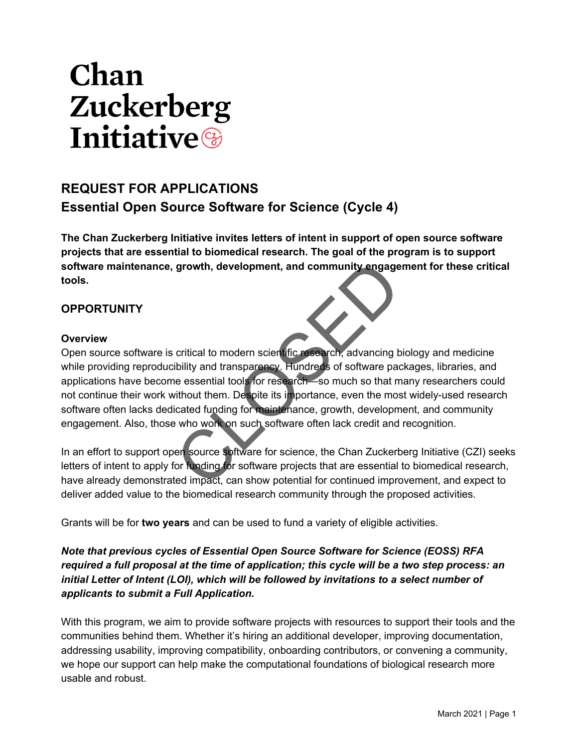# **Chan Zuckerberg Initiative**

# **REQUEST FOR APPLICATIONS Essential Open Source Software for Science (Cycle 4)**

**The Chan Zuckerberg Initiative invites letters of intent in support of open source software projects that are essential to biomedical research. The goal of the program is to support software maintenance, growth, development, and community engagement for these critical tools.**

# **OPPORTUNITY**

#### **Overview**

Open source software is critical to modern scientific research, advancing biology and medicine while providing reproducibility and transparency. Hundreds of software packages, libraries, and applications have become essential tools for research—so much so that many researchers could not continue their work without them. Despite its importance, even the most widely-used research software often lacks dedicated funding for maintenance, growth, development, and community engagement. Also, those who work on such software often lack credit and recognition. growth, development, and community engage<br>
critical to modern scientific research, advancing b<br>
ibility and transparency. Hundreds of software pace<br>
e essential tools for research—so much so that m<br>
ithout them. Despite it

In an effort to support open source software for science, the Chan Zuckerberg Initiative (CZI) seeks letters of intent to apply for funding for software projects that are essential to biomedical research, have already demonstrated impact, can show potential for continued improvement, and expect to deliver added value to the biomedical research community through the proposed activities.

Grants will be for **two years** and can be used to fund a variety of eligible activities.

*Note that previous cycles of Essential Open Source Software for Science (EOSS) RFA required a full proposal at the time of application; this cycle will be a two step process: an initial Letter of Intent (LOI), which will be followed by invitations to a select number of applicants to submit a Full Application.*

With this program, we aim to provide software projects with resources to support their tools and the communities behind them. Whether it's hiring an additional developer, improving documentation, addressing usability, improving compatibility, onboarding contributors, or convening a community, we hope our support can help make the computational foundations of biological research more usable and robust.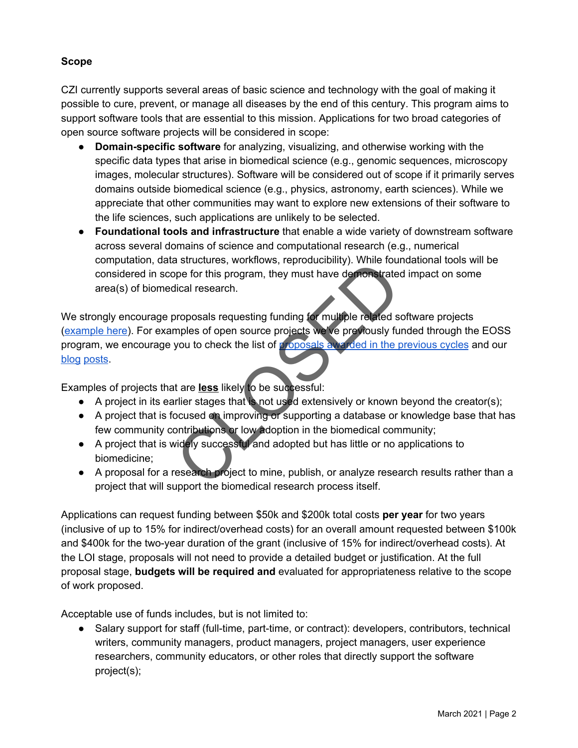#### **Scope**

CZI currently supports several areas of basic science and technology with the goal of making it possible to cure, prevent, or manage all diseases by the end of this century. This program aims to support software tools that are essential to this mission. Applications for two broad categories of open source software projects will be considered in scope:

- **Domain-specific software** for analyzing, visualizing, and otherwise working with the specific data types that arise in biomedical science (e.g., genomic sequences, microscopy images, molecular structures). Software will be considered out of scope if it primarily serves domains outside biomedical science (e.g., physics, astronomy, earth sciences). While we appreciate that other communities may want to explore new extensions of their software to the life sciences, such applications are unlikely to be selected.
- **Foundational tools and infrastructure** that enable a wide variety of downstream software across several domains of science and computational research (e.g., numerical computation, data structures, workflows, reproducibility). While foundational tools will be considered in scope for this program, they must have demonstrated impact on some area(s) of biomedical research.

We strongly encourage proposals requesting funding for multiple related software projects [\(example here](https://chanzuckerberg.com/eoss/proposals/a-modular-suite-of-advanced-bioimaging-tools-with-scikit-image-and-dash/)). For examples of open source projects we've previously funded through the EOSS program, we encourage you to check the list of [proposals awarded in the previous cycles](https://chanzuckerberg.com/eoss/proposals/) and our [blog](https://medium.com/@cziscience/enabling-foundational-tools-for-scientific-discovery-5eb1f5747c35) [posts.](https://medium.com/@cziscience/the-invisible-foundations-of-biomedicine-4ab7f8d4f5dd) The biometical research project to mine, publish, or analyze research and the biometical research.<br>
Separation of this program, they must have demonstrated ideal research.<br>
The projects were projected in the proposals are

Examples of projects that are **less** likely to be successful:

- $\bullet$  A project in its earlier stages that is not used extensively or known beyond the creator(s);
- A project that is focused on improving or supporting a database or knowledge base that has few community contributions or low adoption in the biomedical community;
- A project that is widely successful and adopted but has little or no applications to biomedicine;
- A proposal for a research project to mine, publish, or analyze research results rather than a project that will support the biomedical research process itself.

Applications can request funding between \$50k and \$200k total costs **per year** for two years (inclusive of up to 15% for indirect/overhead costs) for an overall amount requested between \$100k and \$400k for the two-year duration of the grant (inclusive of 15% for indirect/overhead costs). At the LOI stage, proposals will not need to provide a detailed budget or justification. At the full proposal stage, **budgets will be required and** evaluated for appropriateness relative to the scope of work proposed.

Acceptable use of funds includes, but is not limited to:

● Salary support for staff (full-time, part-time, or contract): developers, contributors, technical writers, community managers, product managers, project managers, user experience researchers, community educators, or other roles that directly support the software project(s);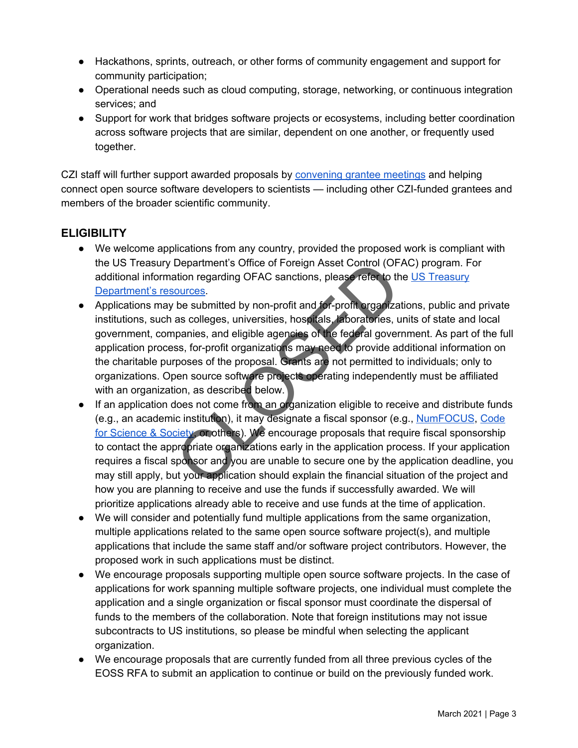- Hackathons, sprints, outreach, or other forms of community engagement and support for community participation;
- Operational needs such as cloud computing, storage, networking, or continuous integration services; and
- Support for work that bridges software projects or ecosystems, including better coordination across software projects that are similar, dependent on one another, or frequently used together.

CZI staff will further support awarded proposals by [convening grantee meetings](https://www.youtube.com/playlist?list=PLilvrWT8aLuZgAIJ7rq3-hhw_M5Z1yV4l) and helping connect open source software developers to scientists — including other CZI-funded grantees and members of the broader scientific community.

# **ELIGIBILITY**

- We welcome applications from any country, provided the proposed work is compliant with the US Treasury Department's Office of Foreign Asset Control (OFAC) program. For additional information regarding OFAC sanctions, please refer to the [US Treasury](https://www.treasury.gov/resource-center/sanctions/Pages/default.aspx) [Department's resources.](https://www.treasury.gov/resource-center/sanctions/Pages/default.aspx)
- Applications may be submitted by non-profit and for-profit organizations, public and private institutions, such as colleges, universities, hospitals, laboratories, units of state and local government, companies, and eligible agencies of the federal government. As part of the full application process, for-profit organizations may need to provide additional information on the charitable purposes of the proposal. Grants are not permitted to individuals; only to organizations. Open source software projects operating independently must be affiliated with an organization, as described below. Department's Office of Foreign Asset Control (OF.<br>ation regarding OFAC sanctions, please refer to the **ources**.<br>be submitted by non-profit and for-profit organizations as colleges, universities, hospitals, laboratories, u<br>
- If an application does not come from an organization eligible to receive and distribute funds (e.g., an academic institution), it may designate a fiscal sponsor (e.g., [NumFOCUS](https://numfocus.org/), [Code](https://codeforscience.org/) [for Science & Society,](https://codeforscience.org/) or others). We encourage proposals that require fiscal sponsorship to contact the appropriate organizations early in the application process. If your application requires a fiscal sponsor and you are unable to secure one by the application deadline, you may still apply, but your application should explain the financial situation of the project and how you are planning to receive and use the funds if successfully awarded. We will prioritize applications already able to receive and use funds at the time of application.
- We will consider and potentially fund multiple applications from the same organization, multiple applications related to the same open source software project(s), and multiple applications that include the same staff and/or software project contributors. However, the proposed work in such applications must be distinct.
- We encourage proposals supporting multiple open source software projects. In the case of applications for work spanning multiple software projects, one individual must complete the application and a single organization or fiscal sponsor must coordinate the dispersal of funds to the members of the collaboration. Note that foreign institutions may not issue subcontracts to US institutions, so please be mindful when selecting the applicant organization.
- We encourage proposals that are currently funded from all three previous cycles of the EOSS RFA to submit an application to continue or build on the previously funded work.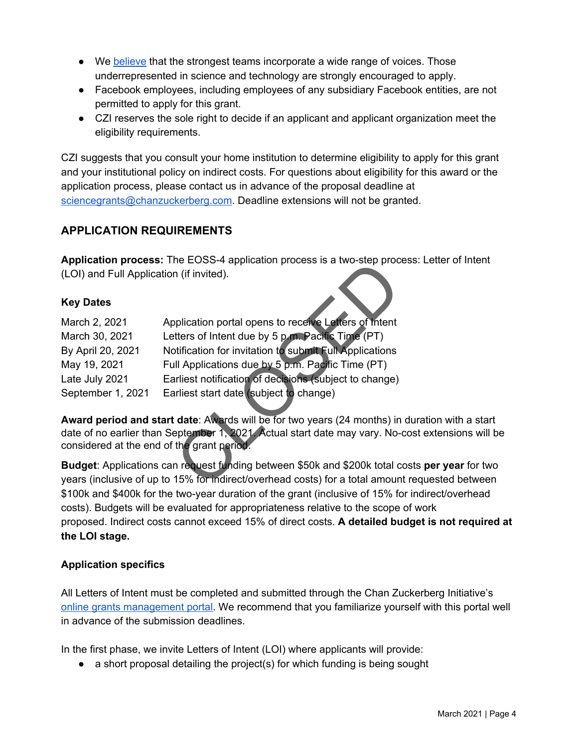- We [believe](https://chanzuckerberg.com/about/our-approach/dei/) that the strongest teams incorporate a wide range of voices. Those underrepresented in science and technology are strongly encouraged to apply.
- Facebook employees, including employees of any subsidiary Facebook entities, are not permitted to apply for this grant.
- CZI reserves the sole right to decide if an applicant and applicant organization meet the eligibility requirements.

CZI suggests that you consult your home institution to determine eligibility to apply for this grant and your institutional policy on indirect costs. For questions about eligibility for this award or the application process, please contact us in advance of the proposal deadline at [sciencegrants@chanzuckerberg.com.](mailto:sciencegrants@chanzuckerberg.com) Deadline extensions will not be granted.

# **APPLICATION REQUIREMENTS**

**Application process:** The EOSS-4 application process is a two-step process: Letter of Intent (LOI) and Full Application (if invited).

#### **Key Dates**

|                                            | Application process. The EOSS-4 application process is a two-step proce          |
|--------------------------------------------|----------------------------------------------------------------------------------|
| (LOI) and Full Application (if invited).   |                                                                                  |
| <b>Key Dates</b>                           |                                                                                  |
| March 2, 2021                              | Application portal opens to receive Letters of Intent                            |
| March 30, 2021                             | Letters of Intent due by 5 p.m. Pacific Time (PT)                                |
| By April 20, 2021                          | Notification for invitation to submit Full Applications                          |
| May 19, 2021                               | Full Applications due by 5 p.m. Pacific Time (PT)                                |
| Late July 2021                             | Earliest notification of decisions (subject to change)                           |
| September 1, 2021                          | Earliest start date (subject to change)                                          |
|                                            | Award period and start date: Awards will be for two years (24 months) in         |
| considered at the end of the grant period. | date of no earlier than September 1, 2021. Actual start date may vary. No-       |
|                                            | <b>Budget:</b> Applications can request funding between \$50k and \$200k total c |
|                                            | years (inclusive of up to 15% for indirect/overhead costs) for a total amoun     |

**Award period and start date**: Awards will be for two years (24 months) in duration with a start date of no earlier than September 1, 2021. Actual start date may vary. No-cost extensions will be considered at the end of the grant period.

**Budget**: Applications can request funding between \$50k and \$200k total costs **per year** for two years (inclusive of up to 15% for indirect/overhead costs) for a total amount requested between \$100k and \$400k for the two-year duration of the grant (inclusive of 15% for indirect/overhead costs). Budgets will be evaluated for appropriateness relative to the scope of work proposed. Indirect costs cannot exceed 15% of direct costs. **A detailed budget is not required at the LOI stage.**

#### **Application specifics**

All Letters of Intent must be completed and submitted through the Chan Zuckerberg Initiative's [online grants management portal.](https://apply.chanzuckerberg.com/) We recommend that you familiarize yourself with this portal well in advance of the submission deadlines.

In the first phase, we invite Letters of Intent (LOI) where applicants will provide:

• a short proposal detailing the project(s) for which funding is being sought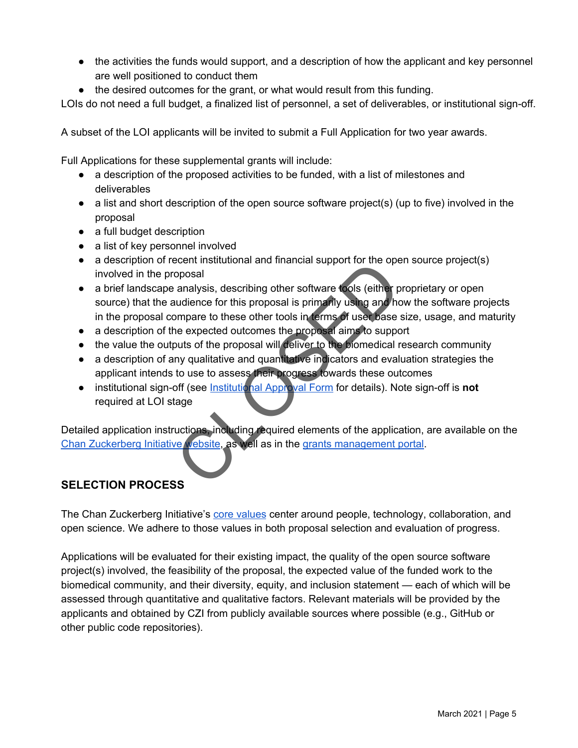- the activities the funds would support, and a description of how the applicant and key personnel are well positioned to conduct them
- the desired outcomes for the grant, or what would result from this funding.

LOIs do not need a full budget, a finalized list of personnel, a set of deliverables, or institutional sign-off.

A subset of the LOI applicants will be invited to submit a Full Application for two year awards.

Full Applications for these supplemental grants will include:

- a description of the proposed activities to be funded, with a list of milestones and deliverables
- $\bullet$  a list and short description of the open source software project(s) (up to five) involved in the proposal
- a full budget description
- a list of key personnel involved
- a description of recent institutional and financial support for the open source project(s) involved in the proposal
- a brief landscape analysis, describing other software tools (either proprietary or open source) that the audience for this proposal is primarily using and how the software projects in the proposal compare to these other tools in terms of user base size, usage, and maturity ecent institutional and inflancial support for the operations<br>analysis, describing other software tools (either p<br>audience for this proposal is primarily using and ho<br>ompare to these other tools in terms of user base :<br>ne
- a description of the expected outcomes the proposal aims to support
- the value the outputs of the proposal will deliver to the biomedical research community
- a description of any qualitative and quantitative indicators and evaluation strategies the applicant intends to use to assess their progress towards these outcomes
- **•** institutional sign-off (see **Institutional Approval Form** for details). Note sign-off is **not** required at LOI stage

Detailed application instructions, including required elements of the application, are available on the [Chan Zuckerberg Initiative website](https://chanzuckerberg.com/rfa/essential-open-source-software-for-science/), as well as in the [grants management portal.](https://apply.chanzuckerberg.com/)

# **SELECTION PROCESS**

The Chan Zuckerberg Initiative's [core values](https://chanzuckerberg.com/science/#our-values) center around people, technology, collaboration, and open science. We adhere to those values in both proposal selection and evaluation of progress.

Applications will be evaluated for their existing impact, the quality of the open source software project(s) involved, the feasibility of the proposal, the expected value of the funded work to the biomedical community, and their diversity, equity, and inclusion statement — each of which will be assessed through quantitative and qualitative factors. Relevant materials will be provided by the applicants and obtained by CZI from publicly available sources where possible (e.g., GitHub or other public code repositories).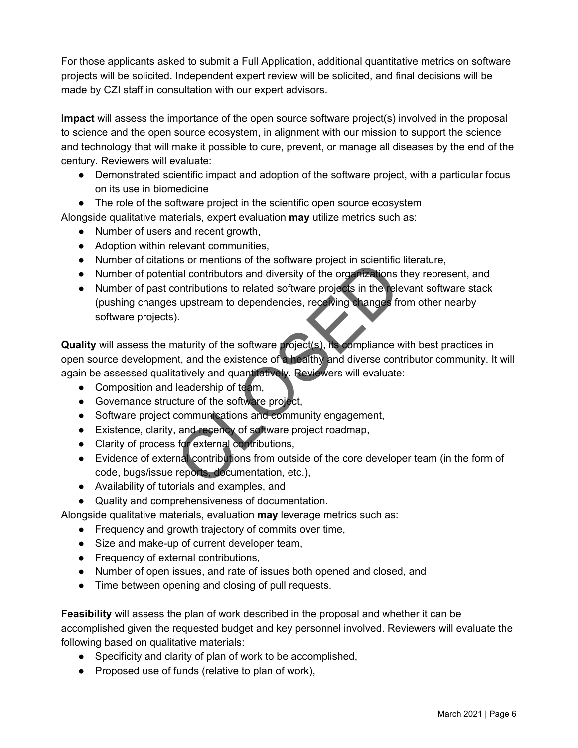For those applicants asked to submit a Full Application, additional quantitative metrics on software projects will be solicited. Independent expert review will be solicited, and final decisions will be made by CZI staff in consultation with our expert advisors.

**Impact** will assess the importance of the open source software project(s) involved in the proposal to science and the open source ecosystem, in alignment with our mission to support the science and technology that will make it possible to cure, prevent, or manage all diseases by the end of the century. Reviewers will evaluate:

- Demonstrated scientific impact and adoption of the software project, with a particular focus on its use in biomedicine
- The role of the software project in the scientific open source ecosystem

Alongside qualitative materials, expert evaluation **may** utilize metrics such as:

- Number of users and recent growth,
- Adoption within relevant communities,
- Number of citations or mentions of the software project in scientific literature,
- Number of potential contributors and diversity of the organizations they represent, and
- Number of past contributions to related software projects in the relevant software stack (pushing changes upstream to dependencies, receiving changes from other nearby software projects).

**Quality** will assess the maturity of the software project(s), its compliance with best practices in open source development, and the existence of a healthy and diverse contributor community. It will again be assessed qualitatively and quantitatively. Reviewers will evaluate: The internal contributions and diversity of the complex in scientificial contributions to related software projects in the release upstream to dependencies, receiving changes from the substream to dependencies, receiving c

- Composition and leadership of team,
- Governance structure of the software project,
- Software project communications and community engagement,
- Existence, clarity, and recency of software project roadmap,
- Clarity of process for external contributions,
- Evidence of external contributions from outside of the core developer team (in the form of code, bugs/issue reports, documentation, etc.),
- Availability of tutorials and examples, and
- Quality and comprehensiveness of documentation.

Alongside qualitative materials, evaluation **may** leverage metrics such as:

- Frequency and growth trajectory of commits over time,
- Size and make-up of current developer team,
- Frequency of external contributions,
- Number of open issues, and rate of issues both opened and closed, and
- Time between opening and closing of pull requests.

**Feasibility** will assess the plan of work described in the proposal and whether it can be accomplished given the requested budget and key personnel involved. Reviewers will evaluate the following based on qualitative materials:

- Specificity and clarity of plan of work to be accomplished,
- Proposed use of funds (relative to plan of work),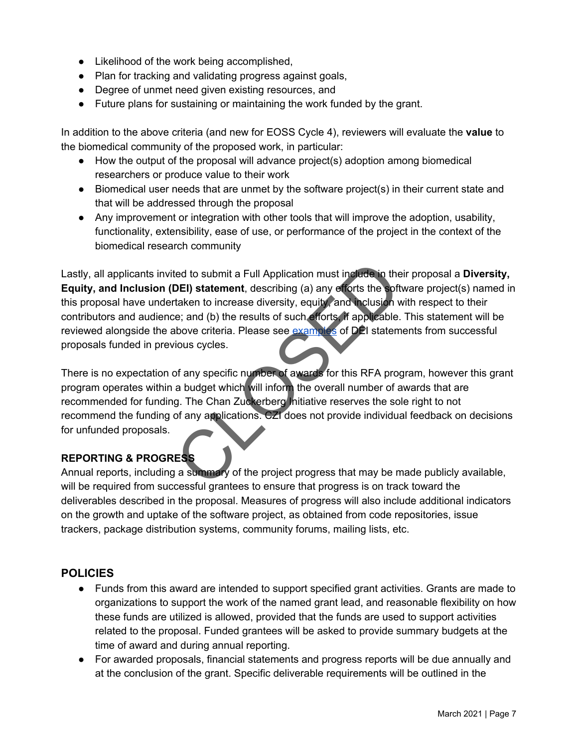- Likelihood of the work being accomplished,
- Plan for tracking and validating progress against goals,
- Degree of unmet need given existing resources, and
- Future plans for sustaining or maintaining the work funded by the grant.

In addition to the above criteria (and new for EOSS Cycle 4), reviewers will evaluate the **value** to the biomedical community of the proposed work, in particular:

- How the output of the proposal will advance project(s) adoption among biomedical researchers or produce value to their work
- Biomedical user needs that are unmet by the software project(s) in their current state and that will be addressed through the proposal
- Any improvement or integration with other tools that will improve the adoption, usability, functionality, extensibility, ease of use, or performance of the project in the context of the biomedical research community

Lastly, all applicants invited to submit a Full Application must include in their proposal a **Diversity, Equity, and Inclusion (DEI) statement**, describing (a) any efforts the software project(s) named in this proposal have undertaken to increase diversity, equity, and inclusion with respect to their contributors and audience; and (b) the results of such efforts, if applicable. This statement will be reviewed alongside the above criteria. Please see examples of DEI statements from successful proposals funded in previous cycles. ted to submit a Full Application must include in the<br>
DEI) statement, describing (a) any efforts the soft<br>
taken to increase diversity, equity, and inclusion v<br>
i.e; and (b) the results of such efforts. If applicable.<br>
sho

There is no expectation of any specific number of awards for this RFA program, however this grant program operates within a budget which will inform the overall number of awards that are recommended for funding. The Chan Zuckerberg Initiative reserves the sole right to not recommend the funding of any applications. CZI does not provide individual feedback on decisions for unfunded proposals.

#### **REPORTING & PROGRESS**

Annual reports, including a summary of the project progress that may be made publicly available, will be required from successful grantees to ensure that progress is on track toward the deliverables described in the proposal. Measures of progress will also include additional indicators on the growth and uptake of the software project, as obtained from code repositories, issue trackers, package distribution systems, community forums, mailing lists, etc.

#### **POLICIES**

- Funds from this award are intended to support specified grant activities. Grants are made to organizations to support the work of the named grant lead, and reasonable flexibility on how these funds are utilized is allowed, provided that the funds are used to support activities related to the proposal. Funded grantees will be asked to provide summary budgets at the time of award and during annual reporting.
- For awarded proposals, financial statements and progress reports will be due annually and at the conclusion of the grant. Specific deliverable requirements will be outlined in the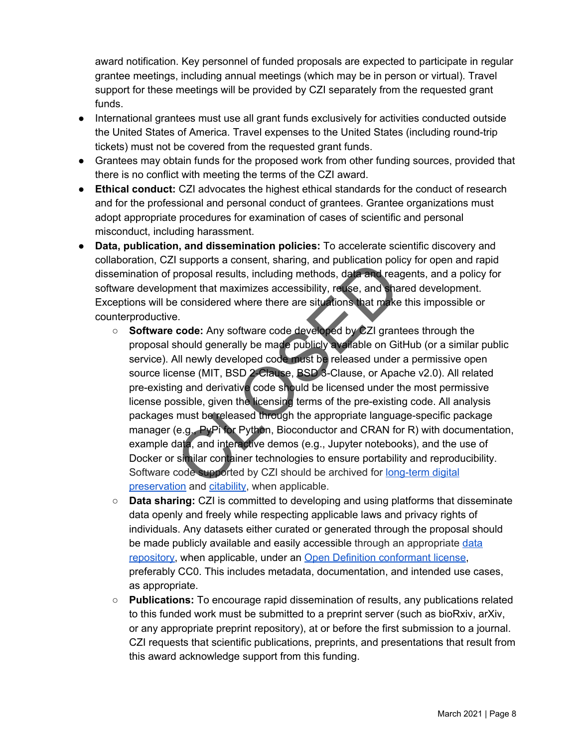award notification. Key personnel of funded proposals are expected to participate in regular grantee meetings, including annual meetings (which may be in person or virtual). Travel support for these meetings will be provided by CZI separately from the requested grant funds.

- International grantees must use all grant funds exclusively for activities conducted outside the United States of America. Travel expenses to the United States (including round-trip tickets) must not be covered from the requested grant funds.
- Grantees may obtain funds for the proposed work from other funding sources, provided that there is no conflict with meeting the terms of the CZI award.
- **Ethical conduct:** CZI advocates the highest ethical standards for the conduct of research and for the professional and personal conduct of grantees. Grantee organizations must adopt appropriate procedures for examination of cases of scientific and personal misconduct, including harassment.
- **Data, publication, and dissemination policies:** To accelerate scientific discovery and collaboration, CZI supports a consent, sharing, and publication policy for open and rapid dissemination of proposal results, including methods, data and reagents, and a policy for software development that maximizes accessibility, reuse, and shared development. Exceptions will be considered where there are situations that make this impossible or counterproductive.
	- **Software code:** Any software code developed by CZI grantees through the proposal should generally be made publicly available on GitHub (or a similar public service). All newly developed code must be released under a permissive open source license (MIT, BSD 2-Clause, BSD 3-Clause, or Apache v2.0). All related pre-existing and derivative code should be licensed under the most permissive license possible, given the licensing terms of the pre-existing code. All analysis packages must be released through the appropriate language-specific package manager (e.g., PyPi for Python, Bioconductor and CRAN for R) with documentation, example data, and interactive demos (e.g., Jupyter notebooks), and the use of Docker or similar container technologies to ensure portability and reproducibility. Software code supported by CZI should be archived for [long-term digital](https://www.softwareheritage.org/save-and-reference-research-software/) [preservation](https://www.softwareheritage.org/save-and-reference-research-software/) and [citability,](https://guides.github.com/activities/citable-code/) when applicable. Transfer and publication pointing and problem.<br>
	Supports a consent, snaring, and publication pointing proposal results, including methods, data and read<br>
	the considered where there are situations that make<br>
	e.<br> **Code:** Any
	- **Data sharing:** CZI is committed to developing and using platforms that disseminate data openly and freely while respecting applicable laws and privacy rights of individuals. Any datasets either curated or generated through the proposal should be made publicly available and easily accessible through an appropriate [data](https://www.re3data.org/) [repository](https://www.re3data.org/), when applicable, under an [Open Definition conformant license,](http://opendefinition.org/licenses/) preferably CC0. This includes metadata, documentation, and intended use cases, as appropriate.
	- **Publications:** To encourage rapid dissemination of results, any publications related to this funded work must be submitted to a preprint server (such as bioRxiv, arXiv, or any appropriate preprint repository), at or before the first submission to a journal. CZI requests that scientific publications, preprints, and presentations that result from this award acknowledge support from this funding.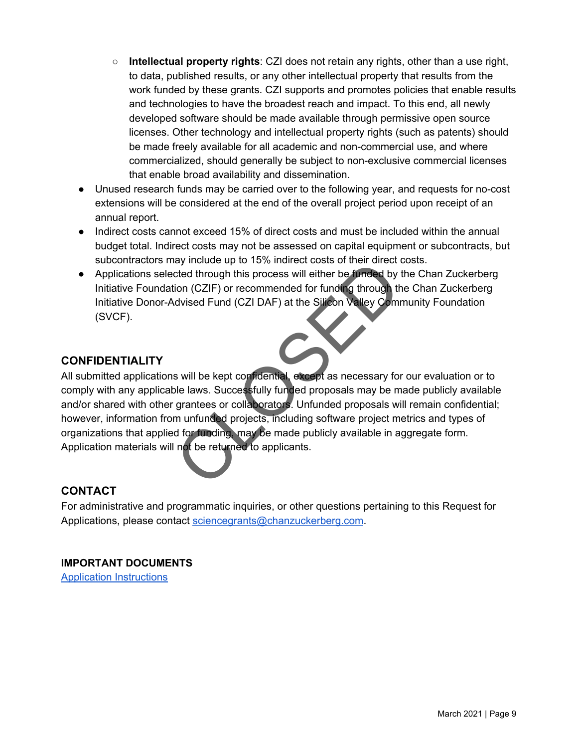- **Intellectual property rights**: CZI does not retain any rights, other than a use right, to data, published results, or any other intellectual property that results from the work funded by these grants. CZI supports and promotes policies that enable results and technologies to have the broadest reach and impact. To this end, all newly developed software should be made available through permissive open source licenses. Other technology and intellectual property rights (such as patents) should be made freely available for all academic and non-commercial use, and where commercialized, should generally be subject to non-exclusive commercial licenses that enable broad availability and dissemination.
- Unused research funds may be carried over to the following year, and requests for no-cost extensions will be considered at the end of the overall project period upon receipt of an annual report.
- Indirect costs cannot exceed 15% of direct costs and must be included within the annual budget total. Indirect costs may not be assessed on capital equipment or subcontracts, but subcontractors may include up to 15% indirect costs of their direct costs.
- Applications selected through this process will either be funded by the Chan Zuckerberg Initiative Foundation (CZIF) or recommended for funding through the Chan Zuckerberg Initiative Donor-Advised Fund (CZI DAF) at the Silicon Valley Community Foundation (SVCF).

### **CONFIDENTIALITY**

All submitted applications will be kept confidential, except as necessary for our evaluation or to comply with any applicable laws. Successfully funded proposals may be made publicly available and/or shared with other grantees or collaborators. Unfunded proposals will remain confidential; however, information from unfunded projects, including software project metrics and types of organizations that applied for funding, may be made publicly available in aggregate form. Application materials will not be returned to applicants. ay include up to 15% murect costs of their direct detect of through this process will either be funded by to ion (CZIF) or recommended for funding through the divised Fund (CZI DAF) at the Silicon Valley Commented Fund (CZ

#### **CONTACT**

For administrative and programmatic inquiries, or other questions pertaining to this Request for Applications, please contact [sciencegrants@chanzuckerberg.com](mailto:sciencegrants@chanzuckerberg.com).

#### **IMPORTANT DOCUMENTS** [Application Instructions](https://apply.chanzuckerberg.com/protected/resource/eyJoZnJlIjogOTQ1OTM2NzAsICJ2cSI6IDE2NTY0N30/)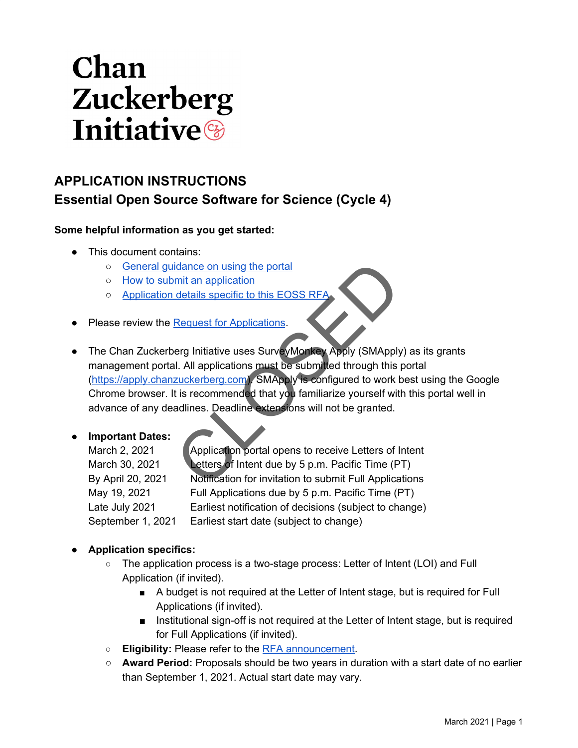# Chan **Zuckerberg Initiative**

# **APPLICATION INSTRUCTIONS Essential Open Source Software for Science (Cycle 4)**

#### **Some helpful information as you get started:**

- This document contains:
	- [General guidance on using the portal](#page-10-0)
	- [How to submit an application](#page-11-0)
	- o Application details specific to this EOSS RF
- **Please review the Request for Applications.**
- The Chan Zuckerberg Initiative uses SurveyMonkey Apply (SMApply) as its grants management portal. All applications must be submitted through this portal ([https://apply.chanzuckerberg.com\)](https://apply.chanzuckerberg.com/). SMApply is configured to work best using the Google Chrome browser. It is recommended that you familiarize yourself with this portal well in advance of any deadlines. Deadline extensions will not be granted. idance on using the portal<br>
mit an application<br>
details specific to this EO[S](https://chanzuckerberg.com/rfa/essential-open-source-software-for-science/)S RFA<br>
Request for Applications<br>
erg Initiative uses SurveyMonkey Apply (SMApply<br>
II. All applications must be submitted through this<br>
zuckerberg.

#### ● **Important Dates:**

March 2, 2021 Application portal opens to receive Letters of Intent March 30, 2021 Letters of Intent due by 5 p.m. Pacific Time (PT) By April 20, 2021 Notification for invitation to submit Full Applications May 19, 2021 Full Applications due by 5 p.m. Pacific Time (PT) Late July 2021 Earliest notification of decisions (subject to change) September 1, 2021 Earliest start date (subject to change)

#### ● **Application specifics:**

- The application process is a two-stage process: Letter of Intent (LOI) and Full Application (if invited).
	- A budget is not required at the Letter of Intent stage, but is required for Full Applications (if invited).
	- Institutional sign-off is not required at the Letter of Intent stage, but is required for Full Applications (if invited).
- **Eligibility:** Please refer to the [RFA announcement.](https://chanzuckerberg.com/rfa/essential-open-source-software-for-science/)
- Award Period: Proposals should be two years in duration with a start date of no earlier than September 1, 2021. Actual start date may vary.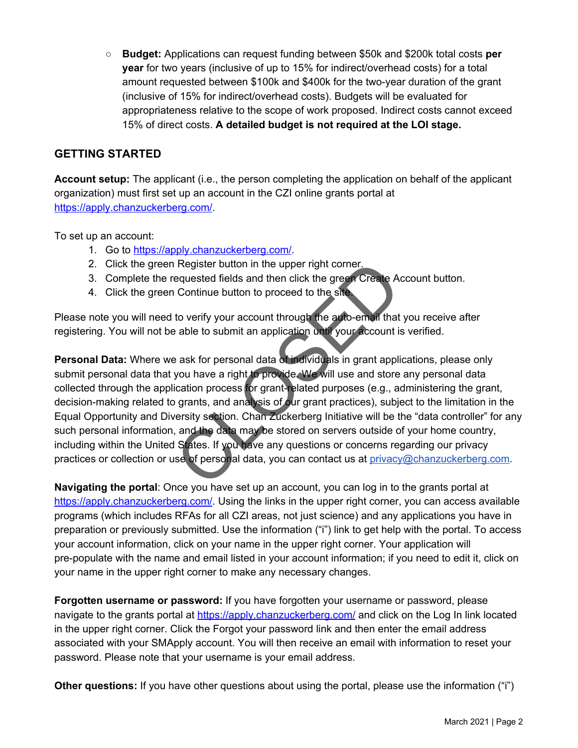○ **Budget:** Applications can request funding between \$50k and \$200k total costs **per year** for two years (inclusive of up to 15% for indirect/overhead costs) for a total amount requested between \$100k and \$400k for the two-year duration of the grant (inclusive of 15% for indirect/overhead costs). Budgets will be evaluated for appropriateness relative to the scope of work proposed. Indirect costs cannot exceed 15% of direct costs. **A detailed budget is not required at the LOI stage.**

## <span id="page-10-0"></span>**GETTING STARTED**

**Account setup:** The applicant (i.e., the person completing the application on behalf of the applicant organization) must first set up an account in the CZI online grants portal at [https://apply.chanzuckerberg.com/.](https://apply.chanzuckerberg.com/)

To set up an account:

- 1. Go to <https://apply.chanzuckerberg.com/>.
- 2. Click the green Register button in the upper right corner.
- 3. Complete the requested fields and then click the green Create Account button.
- 4. Click the green Continue button to proceed to the site.

Please note you will need to verify your account through the auto-email that you receive after registering. You will not be able to submit an application until your account is verified.

**Personal Data:** Where we ask for personal data of individuals in grant applications, please only submit personal data that you have a right to provide. We will use and store any personal data collected through the application process for grant-related purposes (e.g., administering the grant, decision-making related to grants, and analysis of our grant practices), subject to the limitation in the Equal Opportunity and Diversity section. Chan Zuckerberg Initiative will be the "data controller" for any such personal information, and the data may be stored on servers outside of your home country, including within the United States. If you have any questions or concerns regarding our privacy practices or collection or use of personal data, you can contact us at [privacy@chanzuckerberg.com.](mailto:privacy@chanzuckerberg.com) Register button in the upper right corner.<br>
equested fields and then click the green Create Are<br>
to verify your account through the auto-email that<br>
a able to submit an application until your account is<br>
a ask for personal

**Navigating the portal**: Once you have set up an account, you can log in to the grants portal at [https://apply.chanzuckerberg.com/.](https://apply.chanzuckerberg.com/) Using the links in the upper right corner, you can access available programs (which includes RFAs for all CZI areas, not just science) and any applications you have in preparation or previously submitted. Use the information ("i") link to get help with the portal. To access your account information, click on your name in the upper right corner. Your application will pre-populate with the name and email listed in your account information; if you need to edit it, click on your name in the upper right corner to make any necessary changes.

**Forgotten username or password:** If you have forgotten your username or password, please navigate to the grants portal at<https://apply.chanzuckerberg.com/> and click on the Log In link located in the upper right corner. Click the Forgot your password link and then enter the email address associated with your SMApply account. You will then receive an email with information to reset your password. Please note that your username is your email address.

**Other questions:** If you have other questions about using the portal, please use the information ("i")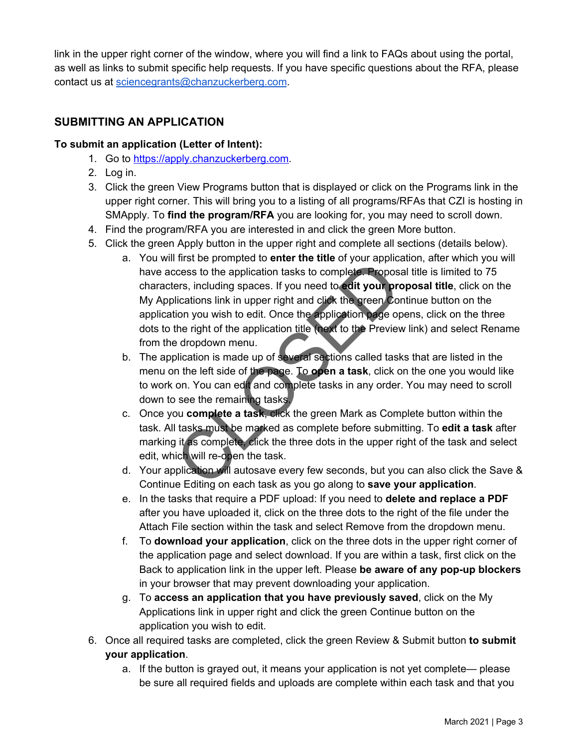link in the upper right corner of the window, where you will find a link to FAQs about using the portal, as well as links to submit specific help requests. If you have specific questions about the RFA, please contact us at [sciencegrants@chanzuckerberg.com.](mailto:sciencegrants@chanzuckerberg.com)

## <span id="page-11-0"></span>**SUBMITTING AN APPLICATION**

#### **To submit an application (Letter of Intent):**

- 1. Go to [https://apply.chanzuckerberg.com.](https://apply.chanzuckerberg.com/)
- 2. Log in.
- 3. Click the green View Programs button that is displayed or click on the Programs link in the upper right corner. This will bring you to a listing of all programs/RFAs that CZI is hosting in SMApply. To **find the program/RFA** you are looking for, you may need to scroll down.
- 4. Find the program/RFA you are interested in and click the green More button.
- 5. Click the green Apply button in the upper right and complete all sections (details below).
	- a. You will first be prompted to **enter the title** of your application, after which you will have access to the application tasks to complete. Proposal title is limited to 75 characters, including spaces. If you need to **edit your proposal title**, click on the My Applications link in upper right and click the green Continue button on the application you wish to edit. Once the application page opens, click on the three dots to the right of the application title (next to the Preview link) and select Rename from the dropdown menu. This to be prompted to enter the three of your applications in this to be application tasks to complete. Propositions in the applications link in upper right and click the green Contion you wish to edit. Once the applicati
	- b. The application is made up of several sections called tasks that are listed in the menu on the left side of the page. To **open a task**, click on the one you would like to work on. You can edit and complete tasks in any order. You may need to scroll down to see the remaining tasks.
	- c. Once you **complete a task**, click the green Mark as Complete button within the task. All tasks must be marked as complete before submitting. To **edit a task** after marking it as complete, click the three dots in the upper right of the task and select edit, which will re-open the task.
	- d. Your application will autosave every few seconds, but you can also click the Save & Continue Editing on each task as you go along to **save your application**.
	- e. In the tasks that require a PDF upload: If you need to **delete and replace a PDF** after you have uploaded it, click on the three dots to the right of the file under the Attach File section within the task and select Remove from the dropdown menu.
	- f. To **download your application**, click on the three dots in the upper right corner of the application page and select download. If you are within a task, first click on the Back to application link in the upper left. Please **be aware of any pop-up blockers** in your browser that may prevent downloading your application.
	- g. To **access an application that you have previously saved**, click on the My Applications link in upper right and click the green Continue button on the application you wish to edit.
- 6. Once all required tasks are completed, click the green Review & Submit button **to submit your application**.
	- a. If the button is grayed out, it means your application is not yet complete— please be sure all required fields and uploads are complete within each task and that you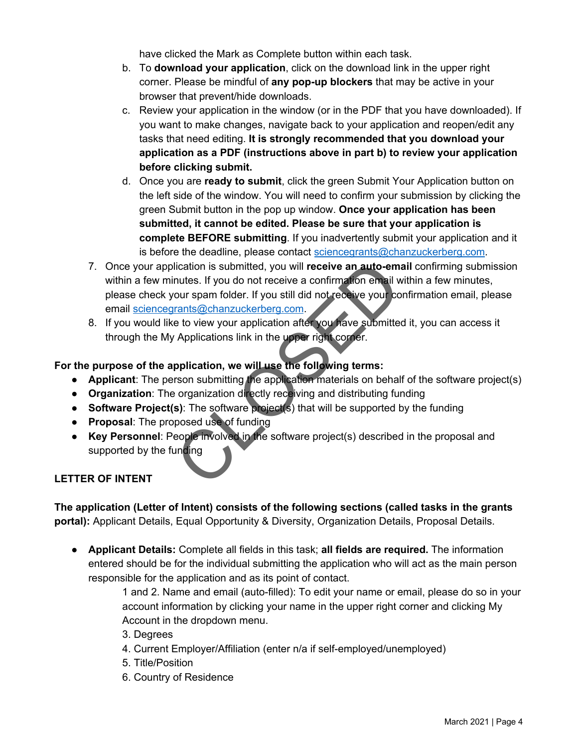have clicked the Mark as Complete button within each task.

- b. To **download your application**, click on the download link in the upper right corner. Please be mindful of **any pop-up blockers** that may be active in your browser that prevent/hide downloads.
- c. Review your application in the window (or in the PDF that you have downloaded). If you want to make changes, navigate back to your application and reopen/edit any tasks that need editing. **It is strongly recommended that you download your application as a PDF (instructions above in part b) to review your application before clicking submit.**
- d. Once you are **ready to submit**, click the green Submit Your Application button on the left side of the window. You will need to confirm your submission by clicking the green Submit button in the pop up window. **Once your application has been submitted, it cannot be edited. Please be sure that your application is complete BEFORE submitting**. If you inadvertently submit your application and it is before the deadline, please contact [sciencegrants@chanzuckerberg.com.](mailto:sciencegrants@chanzuckerberg.com)
- 7. Once your application is submitted, you will **receive an auto-email** confirming submission within a few minutes. If you do not receive a confirmation email within a few minutes, please check your spam folder. If you still did not receive your confirmation email, please email [sciencegrants@chanzuckerberg.com.](mailto:sciencegrants@chanzuckerberg.com) lication is submitted, you will **receive an auto-em-**<br>nutes. If you do not receive a confirmation email w<br>our spam folder. If you still did not receive your corrents@chanzuckerberg.com.<br>e to view your application after you
- 8. If you would like to view your application after you have submitted it, you can access it through the My Applications link in the upper right corner.

#### **For the purpose of the application, we will use the following terms:**

- **Applicant**: The person submitting the application materials on behalf of the software project(s)
- **Organization**: The organization directly receiving and distributing funding
- **Software Project(s)**: The software project(s) that will be supported by the funding
- **Proposal**: The proposed use of funding
- **Key Personnel**: People involved in the software project(s) described in the proposal and supported by the funding

#### **LETTER OF INTENT**

<span id="page-12-0"></span>**The application (Letter of Intent) consists of the following sections (called tasks in the grants portal):** Applicant Details, Equal Opportunity & Diversity, Organization Details, Proposal Details.

● **Applicant Details:** Complete all fields in this task; **all fields are required.** The information entered should be for the individual submitting the application who will act as the main person responsible for the application and as its point of contact.

> 1 and 2. Name and email (auto-filled): To edit your name or email, please do so in your account information by clicking your name in the upper right corner and clicking My Account in the dropdown menu.

3. Degrees

- 4. Current Employer/Affiliation (enter n/a if self-employed/unemployed)
- 5. Title/Position
- 6. Country of Residence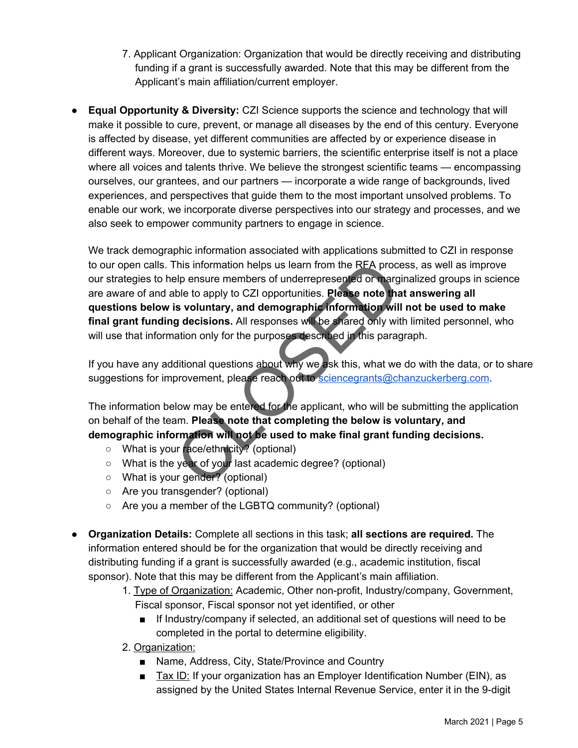- 7. Applicant Organization: Organization that would be directly receiving and distributing funding if a grant is successfully awarded. Note that this may be different from the Applicant's main affiliation/current employer.
- **Equal Opportunity & Diversity:** CZI Science supports the science and technology that will make it possible to cure, prevent, or manage all diseases by the end of this century. Everyone is affected by disease, yet different communities are affected by or experience disease in different ways. Moreover, due to systemic barriers, the scientific enterprise itself is not a place where all voices and talents thrive. We believe the strongest scientific teams — encompassing ourselves, our grantees, and our partners — incorporate a wide range of backgrounds, lived experiences, and perspectives that guide them to the most important unsolved problems. To enable our work, we incorporate diverse perspectives into our strategy and processes, and we also seek to empower community partners to engage in science.

We track demographic information associated with applications submitted to CZI in response to our open calls. This information helps us learn from the RFA process, as well as improve our strategies to help ensure members of underrepresented or marginalized groups in science are aware of and able to apply to CZI opportunities. **Please note that answering all questions below is voluntary, and demographic information will not be used to make** final grant funding decisions. All responses will be shared only with limited personnel, who will use that information only for the purposes described in this paragraph. This information helps us learn from the RFA proce-<br>
Elp ensure members of underrepresented or marg<br>
ble to apply to CZI opportunities. **Please note that<br>
is voluntary, and demographic information will<br>
g decisions. All re** 

If you have any additional questions about why we ask this, what we do with the data, or to share suggestions for improvement, please reach out to [sciencegrants@chanzuckerberg.com](mailto:sciencegrants@chanzuckerberg.com).

The information below may be entered for the applicant, who will be submitting the application on behalf of the team. **Please note that completing the below is voluntary, and demographic information will not be used to make final grant funding decisions.**

- What is your race/ethnicity? (optional)
- What is the year of your last academic degree? (optional)
- What is your gender? (optional)
- Are you transgender? (optional)
- Are you a member of the LGBTQ community? (optional)
- **Organization Details:** Complete all sections in this task; **all sections are required.** The information entered should be for the organization that would be directly receiving and distributing funding if a grant is successfully awarded (e.g., academic institution, fiscal sponsor). Note that this may be different from the Applicant's main affiliation.
	- 1. Type of Organization: Academic, Other non-profit, Industry/company, Government, Fiscal sponsor, Fiscal sponsor not yet identified, or other
		- If Industry/company if selected, an additional set of questions will need to be completed in the portal to determine eligibility.
	- 2. Organization:
		- Name, Address, City, State/Province and Country
		- Tax ID: If your organization has an Employer Identification Number (EIN), as assigned by the United States Internal Revenue Service, enter it in the 9-digit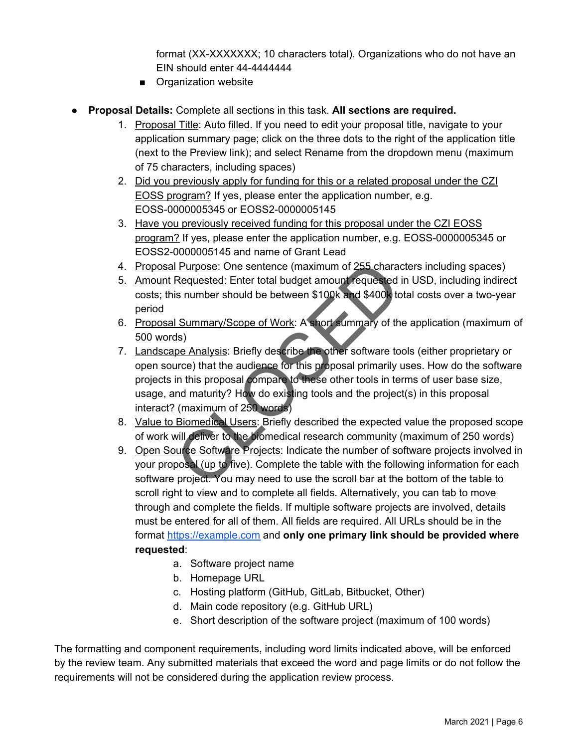format (XX-XXXXXXX; 10 characters total). Organizations who do not have an EIN should enter 44-4444444

- Organization website
- **Proposal Details:** Complete all sections in this task. **All sections are required.**
	- 1. Proposal Title: Auto filled. If you need to edit your proposal title, navigate to your application summary page; click on the three dots to the right of the application title (next to the Preview link); and select Rename from the dropdown menu (maximum of 75 characters, including spaces)
	- 2. Did you previously apply for funding for this or a related proposal under the CZI EOSS program? If yes, please enter the application number, e.g. EOSS-0000005345 or EOSS2-0000005145
	- 3. Have you previously received funding for this proposal under the CZI EOSS program? If yes, please enter the application number, e.g. EOSS-0000005345 or EOSS2-0000005145 and name of Grant Lead
	- 4. Proposal Purpose: One sentence (maximum of 255 characters including spaces)
	- 5. Amount Requested: Enter total budget amount requested in USD, including indirect costs; this number should be between \$100k and \$400k total costs over a two-year period
	- 6. Proposal Summary/Scope of Work: A short summary of the application (maximum of 500 words)
	- 7. Landscape Analysis: Briefly describe the other software tools (either proprietary or open source) that the audience for this proposal primarily uses. How do the software projects in this proposal compare to these other tools in terms of user base size, usage, and maturity? How do existing tools and the project(s) in this proposal interact? (maximum of 250 words) I Purpose: One sentence (maximum of 255 charace Requested: Enter total budget amount requested<br>is number should be between \$100k and \$400k to<br>I Summary/Scope of Work: A short summary of th<br>ds)<br>pe Analysis: Briefly describe
	- 8. Value to Biomedical Users: Briefly described the expected value the proposed scope of work will deliver to the biomedical research community (maximum of 250 words)
	- 9. Open Source Software Projects: Indicate the number of software projects involved in your proposal (up to five). Complete the table with the following information for each software project. You may need to use the scroll bar at the bottom of the table to scroll right to view and to complete all fields. Alternatively, you can tab to move through and complete the fields. If multiple software projects are involved, details must be entered for all of them. All fields are required. All URLs should be in the format [https://example.com](https://example.com/) and **only one primary link should be provided where requested**:
		- a. Software project name
		- b. Homepage URL
		- c. Hosting platform (GitHub, GitLab, Bitbucket, Other)
		- d. Main code repository (e.g. GitHub URL)
		- e. Short description of the software project (maximum of 100 words)

The formatting and component requirements, including word limits indicated above, will be enforced by the review team. Any submitted materials that exceed the word and page limits or do not follow the requirements will not be considered during the application review process.